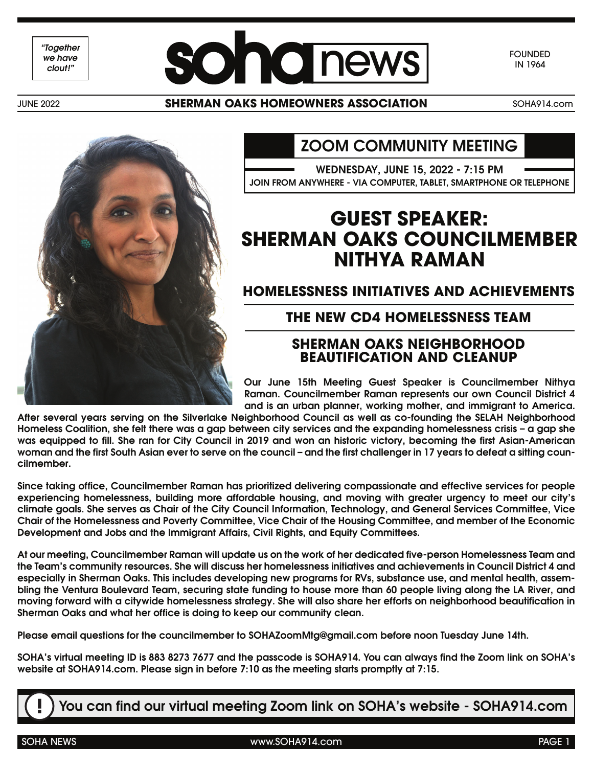*"Together we have*



FOUNDED IN 1964

JUNE 2022

#### **SHERMAN OAKS HOMEOWNERS ASSOCIATION** SOHA914.com



#### ZOOM COMMUNITY MEETING

WEDNESDAY, JUNE 15, 2022 - 7:15 PM JOIN FROM ANYWHERE - VIA COMPUTER, TABLET, SMARTPHONE OR TELEPHONE

### **GUEST SPEAKER: SHERMAN OAKS COUNCILMEMBER NITHYA RAMAN**

**HOMELESSNESS INITIATIVES AND ACHIEVEMENTS**

#### **THE NEW CD4 HOMELESSNESS TEAM**

#### **SHERMAN OAKS NEIGHBORHOOD BEAUTIFICATION AND CLEANUP**

Our June 15th Meeting Guest Speaker is Councilmember Nithya Raman. Councilmember Raman represents our own Council District 4 and is an urban planner, working mother, and immigrant to America.

After several years serving on the Silverlake Neighborhood Council as well as co-founding the SELAH Neighborhood Homeless Coalition, she felt there was a gap between city services and the expanding homelessness crisis – a gap she was equipped to fill. She ran for City Council in 2019 and won an historic victory, becoming the first Asian-American woman and the first South Asian ever to serve on the council – and the first challenger in 17 years to defeat a sitting councilmember.

Since taking office, Councilmember Raman has prioritized delivering compassionate and effective services for people experiencing homelessness, building more affordable housing, and moving with greater urgency to meet our city's climate goals. She serves as Chair of the City Council Information, Technology, and General Services Committee, Vice Chair of the Homelessness and Poverty Committee, Vice Chair of the Housing Committee, and member of the Economic Development and Jobs and the Immigrant Affairs, Civil Rights, and Equity Committees.

At our meeting, Councilmember Raman will update us on the work of her dedicated five-person Homelessness Team and the Team's community resources. She will discuss her homelessness initiatives and achievements in Council District 4 and especially in Sherman Oaks. This includes developing new programs for RVs, substance use, and mental health, assembling the Ventura Boulevard Team, securing state funding to house more than 60 people living along the LA River, and moving forward with a citywide homelessness strategy. She will also share her efforts on neighborhood beautification in Sherman Oaks and what her office is doing to keep our community clean.

Please email questions for the councilmember to SOHAZoomMtg@gmail.com before noon Tuesday June 14th.

SOHA's virtual meeting ID is 883 8273 7677 and the passcode is SOHA914. You can always find the Zoom link on SOHA's website at SOHA914.com. Please sign in before 7:10 as the meeting starts promptly at 7:15.

**!** You can find our virtual meeting Zoom link on SOHA's website - SOHA914.com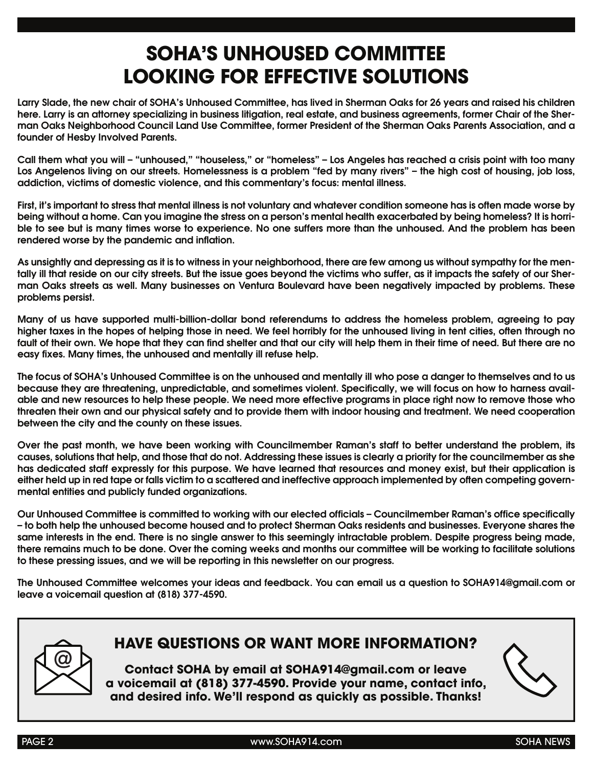# **SOHA'S UNHOUSED COMMITTEE LOOKING FOR EFFECTIVE SOLUTIONS**

Larry Slade, the new chair of SOHA's Unhoused Committee, has lived in Sherman Oaks for 26 years and raised his children here. Larry is an attorney specializing in business litigation, real estate, and business agreements, former Chair of the Sherman Oaks Neighborhood Council Land Use Committee, former President of the Sherman Oaks Parents Association, and a founder of Hesby Involved Parents.

Call them what you will – "unhoused," "houseless," or "homeless" – Los Angeles has reached a crisis point with too many Los Angelenos living on our streets. Homelessness is a problem "fed by many rivers" – the high cost of housing, job loss, addiction, victims of domestic violence, and this commentary's focus: mental illness.

First, it's important to stress that mental illness is not voluntary and whatever condition someone has is often made worse by being without a home. Can you imagine the stress on a person's mental health exacerbated by being homeless? It is horrible to see but is many times worse to experience. No one suffers more than the unhoused. And the problem has been rendered worse by the pandemic and inflation.

As unsightly and depressing as it is to witness in your neighborhood, there are few among us without sympathy for the mentally ill that reside on our city streets. But the issue goes beyond the victims who suffer, as it impacts the safety of our Sherman Oaks streets as well. Many businesses on Ventura Boulevard have been negatively impacted by problems. These problems persist.

Many of us have supported multi-billion-dollar bond referendums to address the homeless problem, agreeing to pay higher taxes in the hopes of helping those in need. We feel horribly for the unhoused living in tent cities, often through no fault of their own. We hope that they can find shelter and that our city will help them in their time of need. But there are no easy fixes. Many times, the unhoused and mentally ill refuse help.

The focus of SOHA's Unhoused Committee is on the unhoused and mentally ill who pose a danger to themselves and to us because they are threatening, unpredictable, and sometimes violent. Specifically, we will focus on how to harness available and new resources to help these people. We need more effective programs in place right now to remove those who threaten their own and our physical safety and to provide them with indoor housing and treatment. We need cooperation between the city and the county on these issues.

Over the past month, we have been working with Councilmember Raman's staff to better understand the problem, its causes, solutions that help, and those that do not. Addressing these issues is clearly a priority for the councilmember as she has dedicated staff expressly for this purpose. We have learned that resources and money exist, but their application is either held up in red tape or falls victim to a scattered and ineffective approach implemented by often competing governmental entities and publicly funded organizations.

Our Unhoused Committee is committed to working with our elected officials – Councilmember Raman's office specifically – to both help the unhoused become housed and to protect Sherman Oaks residents and businesses. Everyone shares the same interests in the end. There is no single answer to this seemingly intractable problem. Despite progress being made, there remains much to be done. Over the coming weeks and months our committee will be working to facilitate solutions to these pressing issues, and we will be reporting in this newsletter on our progress.

The Unhoused Committee welcomes your ideas and feedback. You can email us a question to SOHA914@gmail.com or leave a voicemail question at (818) 377-4590.



#### **HAVE QUESTIONS OR WANT MORE INFORMATION?**

**Contact SOHA by email at SOHA914@gmail.com or leave a voicemail at (818) 377-4590. Provide your name, contact info, and desired info. We'll respond as quickly as possible. Thanks!**

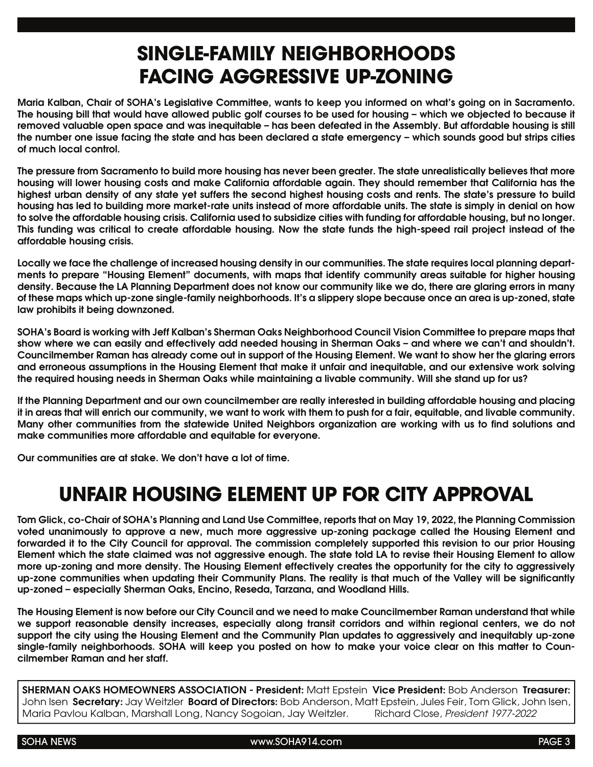## **SINGLE-FAMILY NEIGHBORHOODS FACING AGGRESSIVE UP-ZONING**

Maria Kalban, Chair of SOHA's Legislative Committee, wants to keep you informed on what's going on in Sacramento. The housing bill that would have allowed public golf courses to be used for housing – which we objected to because it removed valuable open space and was inequitable – has been defeated in the Assembly. But affordable housing is still the number one issue facing the state and has been declared a state emergency – which sounds good but strips cities of much local control.

The pressure from Sacramento to build more housing has never been greater. The state unrealistically believes that more housing will lower housing costs and make California affordable again. They should remember that California has the highest urban density of any state yet suffers the second highest housing costs and rents. The state's pressure to build housing has led to building more market-rate units instead of more affordable units. The state is simply in denial on how to solve the affordable housing crisis. California used to subsidize cities with funding for affordable housing, but no longer. This funding was critical to create affordable housing. Now the state funds the high-speed rail project instead of the affordable housing crisis.

Locally we face the challenge of increased housing density in our communities. The state requires local planning departments to prepare "Housing Element" documents, with maps that identify community areas suitable for higher housing density. Because the LA Planning Department does not know our community like we do, there are glaring errors in many of these maps which up-zone single-family neighborhoods. It's a slippery slope because once an area is up-zoned, state law prohibits it being downzoned.

SOHA's Board is working with Jeff Kalban's Sherman Oaks Neighborhood Council Vision Committee to prepare maps that show where we can easily and effectively add needed housing in Sherman Oaks – and where we can't and shouldn't. Councilmember Raman has already come out in support of the Housing Element. We want to show her the glaring errors and erroneous assumptions in the Housing Element that make it unfair and inequitable, and our extensive work solving the required housing needs in Sherman Oaks while maintaining a livable community. Will she stand up for us?

If the Planning Department and our own councilmember are really interested in building affordable housing and placing it in areas that will enrich our community, we want to work with them to push for a fair, equitable, and livable community. Many other communities from the statewide United Neighbors organization are working with us to find solutions and make communities more affordable and equitable for everyone.

Our communities are at stake. We don't have a lot of time.

## **UNFAIR HOUSING ELEMENT UP FOR CITY APPROVAL**

Tom Glick, co-Chair of SOHA's Planning and Land Use Committee, reports that on May 19, 2022, the Planning Commission voted unanimously to approve a new, much more aggressive up-zoning package called the Housing Element and forwarded it to the City Council for approval. The commission completely supported this revision to our prior Housing Element which the state claimed was not aggressive enough. The state told LA to revise their Housing Element to allow more up-zoning and more density. The Housing Element effectively creates the opportunity for the city to aggressively up-zone communities when updating their Community Plans. The reality is that much of the Valley will be significantly up-zoned – especially Sherman Oaks, Encino, Reseda, Tarzana, and Woodland Hills.

The Housing Element is now before our City Council and we need to make Councilmember Raman understand that while we support reasonable density increases, especially along transit corridors and within regional centers, we do not support the city using the Housing Element and the Community Plan updates to aggressively and inequitably up-zone single-family neighborhoods. SOHA will keep you posted on how to make your voice clear on this matter to Councilmember Raman and her staff.

SHERMAN OAKS HOMEOWNERS ASSOCIATION - President: Matt Epstein Vice President: Bob Anderson Treasurer: John Isen Secretary: Jay Weitzler Board of Directors: Bob Anderson, Matt Epstein, Jules Feir, Tom Glick, John Isen,<br>Maria Pavlou Kalban, Marshall Lona, Nancy Soaoian, Jay Weitzler. Richard Close, *President 1977-20* Maria Pavlou Kalban, Marshall Long, Nancy Sogoian, Jay Weitzler.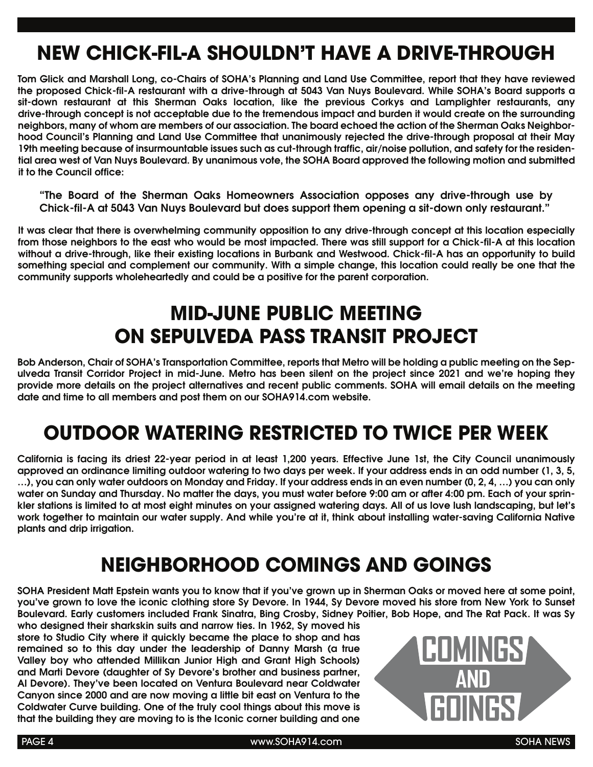# **NEW CHICK-FIL-A SHOULDN'T HAVE A DRIVE-THROUGH**

Tom Glick and Marshall Long, co-Chairs of SOHA's Planning and Land Use Committee, report that they have reviewed the proposed Chick-fil-A restaurant with a drive-through at 5043 Van Nuys Boulevard. While SOHA's Board supports a sit-down restaurant at this Sherman Oaks location, like the previous Corkys and Lamplighter restaurants, any drive-through concept is not acceptable due to the tremendous impact and burden it would create on the surrounding neighbors, many of whom are members of our association. The board echoed the action of the Sherman Oaks Neighborhood Council's Planning and Land Use Committee that unanimously rejected the drive-through proposal at their May 19th meeting because of insurmountable issues such as cut-through traffic, air/noise pollution, and safety for the residential area west of Van Nuys Boulevard. By unanimous vote, the SOHA Board approved the following motion and submitted it to the Council office:

"The Board of the Sherman Oaks Homeowners Association opposes any drive-through use by Chick-fil-A at 5043 Van Nuys Boulevard but does support them opening a sit-down only restaurant."

It was clear that there is overwhelming community opposition to any drive-through concept at this location especially from those neighbors to the east who would be most impacted. There was still support for a Chick-fil-A at this location without a drive-through, like their existing locations in Burbank and Westwood. Chick-fil-A has an opportunity to build something special and complement our community. With a simple change, this location could really be one that the community supports wholeheartedly and could be a positive for the parent corporation.

# **MID-JUNE PUBLIC MEETING ON SEPULVEDA PASS TRANSIT PROJECT**

Bob Anderson, Chair of SOHA's Transportation Committee, reports that Metro will be holding a public meeting on the Sepulveda Transit Corridor Project in mid-June. Metro has been silent on the project since 2021 and we're hoping they provide more details on the project alternatives and recent public comments. SOHA will email details on the meeting date and time to all members and post them on our SOHA914.com website.

## **OUTDOOR WATERING RESTRICTED TO TWICE PER WEEK**

California is facing its driest 22-year period in at least 1,200 years. Effective June 1st, the City Council unanimously approved an ordinance limiting outdoor watering to two days per week. If your address ends in an odd number (1, 3, 5, …), you can only water outdoors on Monday and Friday. If your address ends in an even number (0, 2, 4, …) you can only water on Sunday and Thursday. No matter the days, you must water before 9:00 am or after 4:00 pm. Each of your sprinkler stations is limited to at most eight minutes on your assigned watering days. All of us love lush landscaping, but let's work together to maintain our water supply. And while you're at it, think about installing water-saving California Native plants and drip irrigation.

### **NEIGHBORHOOD COMINGS AND GOINGS**

SOHA President Matt Epstein wants you to know that if you've grown up in Sherman Oaks or moved here at some point, you've grown to love the iconic clothing store Sy Devore. In 1944, Sy Devore moved his store from New York to Sunset Boulevard. Early customers included Frank Sinatra, Bing Crosby, Sidney Poitier, Bob Hope, and The Rat Pack. It was Sy

who designed their sharkskin suits and narrow ties. In 1962, Sy moved his store to Studio City where it quickly became the place to shop and has remained so to this day under the leadership of Danny Marsh (a true Valley boy who attended Millikan Junior High and Grant High Schools) and Marti Devore (daughter of Sy Devore's brother and business partner, Al Devore). They've been located on Ventura Boulevard near Coldwater Canyon since 2000 and are now moving a little bit east on Ventura to the Coldwater Curve building. One of the truly cool things about this move is that the building they are moving to is the Iconic corner building and one



PAGE 4 www.SOHA914.com SOHA NEWS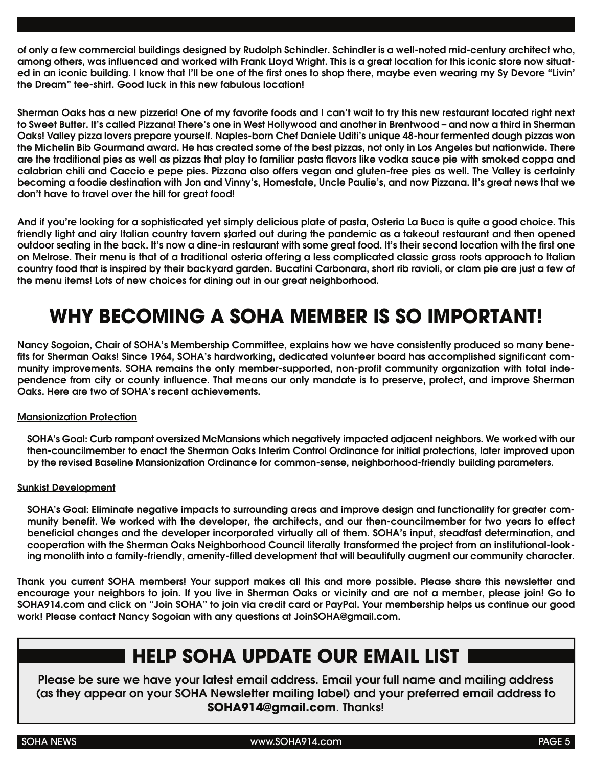of only a few commercial buildings designed by Rudolph Schindler. Schindler is a well-noted mid-century architect who, among others, was influenced and worked with Frank Lloyd Wright. This is a great location for this iconic store now situated in an iconic building. I know that I'll be one of the first ones to shop there, maybe even wearing my Sy Devore "Livin' the Dream" tee-shirt. Good luck in this new fabulous location!

Sherman Oaks has a new pizzeria! One of my favorite foods and I can't wait to try this new restaurant located right next to Sweet Butter. It's called Pizzana! There's one in West Hollywood and another in Brentwood – and now a third in Sherman Oaks! Valley pizza lovers prepare yourself. Naples-born Chef Daniele Uditi's unique 48-hour fermented dough pizzas won the Michelin Bib Gourmand award. He has created some of the best pizzas, not only in Los Angeles but nationwide. There are the traditional pies as well as pizzas that play to familiar pasta flavors like vodka sauce pie with smoked coppa and calabrian chili and Caccio e pepe pies. Pizzana also offers vegan and gluten-free pies as well. The Valley is certainly becoming a foodie destination with Jon and Vinny's, Homestate, Uncle Paulie's, and now Pizzana. It's great news that we don't have to travel over the hill for great food!

And if you're looking for a sophisticated yet simply delicious plate of pasta, Osteria La Buca is quite a good choice. This friendly light and airy Italian country tavern started out during the pandemic as a takeout restaurant and then opened menary lignt and airy italian country tavern started out during the pandemic as a takeout restaurant and then opened<br>outdoor seating in the back. It's now a dine-in restaurant with some great food. It's their second locati on Melrose. Their menu is that of a traditional osteria offering a less complicated classic grass roots approach to Italian country food that is inspired by their backyard garden. Bucatini Carbonara, short rib ravioli, or clam pie are just a few of the menu items! Lots of new choices for dining out in our great neighborhood.

# **WHY BECOMING A SOHA MEMBER IS SO IMPORTANT!**

Nancy Sogoian, Chair of SOHA's Membership Committee, explains how we have consistently produced so many benefits for Sherman Oaks! Since 1964, SOHA's hardworking, dedicated volunteer board has accomplished significant community improvements. SOHA remains the only member-supported, non-profit community organization with total independence from city or county influence. That means our only mandate is to preserve, protect, and improve Sherman Oaks. Here are two of SOHA's recent achievements.

#### Mansionization Protection

SOHA's Goal: Curb rampant oversized McMansions which negatively impacted adjacent neighbors. We worked with our then-councilmember to enact the Sherman Oaks Interim Control Ordinance for initial protections, later improved upon by the revised Baseline Mansionization Ordinance for common-sense, neighborhood-friendly building parameters.

#### Sunkist Development

SOHA's Goal: Eliminate negative impacts to surrounding areas and improve design and functionality for greater community benefit. We worked with the developer, the architects, and our then-councilmember for two years to effect beneficial changes and the developer incorporated virtually all of them. SOHA's input, steadfast determination, and cooperation with the Sherman Oaks Neighborhood Council literally transformed the project from an institutional-looking monolith into a family-friendly, amenity-filled development that will beautifully augment our community character.

Thank you current SOHA members! Your support makes all this and more possible. Please share this newsletter and encourage your neighbors to join. If you live in Sherman Oaks or vicinity and are not a member, please join! Go to SOHA914.com and click on "Join SOHA" to join via credit card or PayPal. Your membership helps us continue our good work! Please contact Nancy Sogoian with any questions at JoinSOHA@gmail.com.

### **HELP SOHA UPDATE OUR EMAIL LIST**

Please be sure we have your latest email address. Email your full name and mailing address (as they appear on your SOHA Newsletter mailing label) and your preferred email address to **SOHA914@gmail.com**. Thanks!